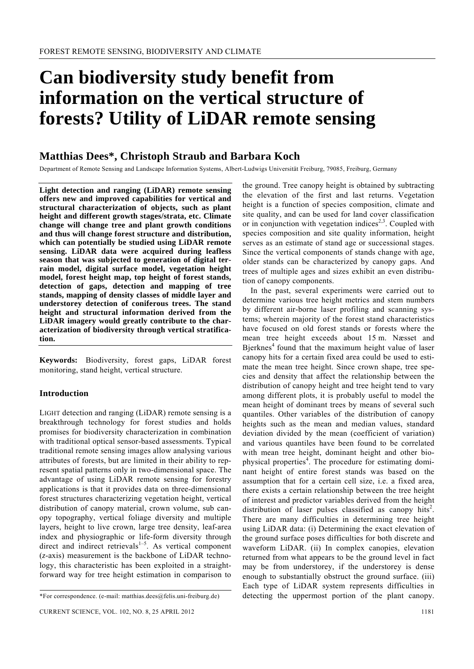# **Can biodiversity study benefit from information on the vertical structure of forests? Utility of LiDAR remote sensing**

## **Matthias Dees\*, Christoph Straub and Barbara Koch**

Department of Remote Sensing and Landscape Information Systems, Albert-Ludwigs Universität Freiburg, 79085, Freiburg, Germany

**Light detection and ranging (LiDAR) remote sensing offers new and improved capabilities for vertical and structural characterization of objects, such as plant height and different growth stages/strata, etc. Climate change will change tree and plant growth conditions and thus will change forest structure and distribution, which can potentially be studied using LiDAR remote sensing. LiDAR data were acquired during leafless season that was subjected to generation of digital terrain model, digital surface model, vegetation height model, forest height map, top height of forest stands, detection of gaps, detection and mapping of tree stands, mapping of density classes of middle layer and understorey detection of coniferous trees. The stand height and structural information derived from the LiDAR imagery would greatly contribute to the characterization of biodiversity through vertical stratification.** 

**Keywords:** Biodiversity, forest gaps, LiDAR forest monitoring, stand height, vertical structure.

## **Introduction**

LIGHT detection and ranging (LiDAR) remote sensing is a breakthrough technology for forest studies and holds promises for biodiversity characterization in combination with traditional optical sensor-based assessments. Typical traditional remote sensing images allow analysing various attributes of forests, but are limited in their ability to represent spatial patterns only in two-dimensional space. The advantage of using LiDAR remote sensing for forestry applications is that it provides data on three-dimensional forest structures characterizing vegetation height, vertical distribution of canopy material, crown volume, sub canopy topography, vertical foliage diversity and multiple layers, height to live crown, large tree density, leaf-area index and physiographic or life-form diversity through direct and indirect retrievals $1-5$ . As vertical component (*z*-axis) measurement is the backbone of LiDAR technology, this characteristic has been exploited in a straightforward way for tree height estimation in comparison to

the ground. Tree canopy height is obtained by subtracting the elevation of the first and last returns. Vegetation height is a function of species composition, climate and site quality, and can be used for land cover classification or in conjunction with vegetation indices<sup>2,3</sup>. Coupled with species composition and site quality information, height serves as an estimate of stand age or successional stages. Since the vertical components of stands change with age, older stands can be characterized by canopy gaps. And trees of multiple ages and sizes exhibit an even distribution of canopy components.

 In the past, several experiments were carried out to determine various tree height metrics and stem numbers by different air-borne laser profiling and scanning systems; wherein majority of the forest stand characteristics have focused on old forest stands or forests where the mean tree height exceeds about 15 m. Næsset and Bjerknes<sup> $4$ </sup> found that the maximum height value of laser canopy hits for a certain fixed area could be used to estimate the mean tree height. Since crown shape, tree species and density that affect the relationship between the distribution of canopy height and tree height tend to vary among different plots, it is probably useful to model the mean height of dominant trees by means of several such quantiles. Other variables of the distribution of canopy heights such as the mean and median values, standard deviation divided by the mean (coefficient of variation) and various quantiles have been found to be correlated with mean tree height, dominant height and other biophysical properties<sup>4</sup>. The procedure for estimating dominant height of entire forest stands was based on the assumption that for a certain cell size, i.e. a fixed area, there exists a certain relationship between the tree height of interest and predictor variables derived from the height distribution of laser pulses classified as canopy hits<sup>2</sup>. There are many difficulties in determining tree height using LiDAR data: (i) Determining the exact elevation of the ground surface poses difficulties for both discrete and waveform LiDAR. (ii) In complex canopies, elevation returned from what appears to be the ground level in fact may be from understorey, if the understorey is dense enough to substantially obstruct the ground surface. (iii) Each type of LiDAR system represents difficulties in detecting the uppermost portion of the plant canopy.

<sup>\*</sup>For correspondence. (e-mail: matthias.dees@felis.uni-freiburg.de)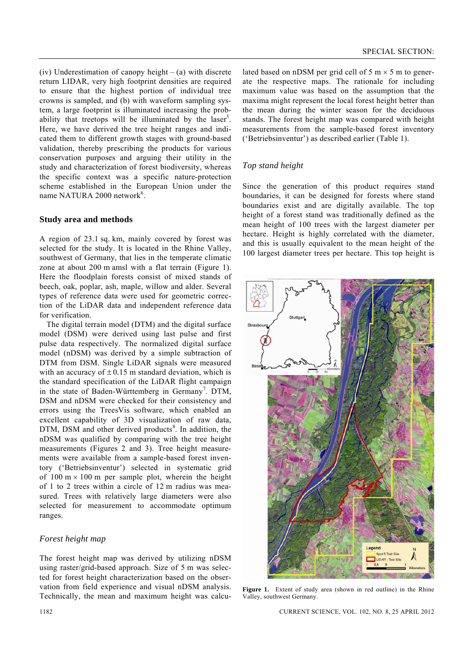(iv) Underestimation of canopy height  $-$  (a) with discrete return LIDAR, very high footprint densities are required to ensure that the highest portion of individual tree crowns is sampled, and (b) with waveform sampling system, a large footprint is illuminated increasing the probability that treetops will be illuminated by the laser<sup>5</sup>. Here, we have derived the tree height ranges and indicated them to different growth stages with ground-based validation, thereby prescribing the products for various conservation purposes and arguing their utility in the study and characterization of forest biodiversity, whereas the specific context was a specific nature-protection scheme established in the European Union under the name NATURA 2000 network<sup>6</sup>.

## **Study area and methods**

A region of 23.1 sq. km, mainly covered by forest was selected for the study. It is located in the Rhine Valley, southwest of Germany, that lies in the temperate climatic zone at about 200 m amsl with a flat terrain (Figure 1). Here the floodplain forests consist of mixed stands of beech, oak, poplar, ash, maple, willow and alder. Several types of reference data were used for geometric correction of the LiDAR data and independent reference data for verification.

The digital terrain model (DTM) and the digital surface model (DSM) were derived using last pulse and first pulse data respectively. The normalized digital surface model (nDSM) was derived by a simple subtraction of DTM from DSM. Single LiDAR signals were measured with an accuracy of  $\pm$  0.15 m standard deviation, which is the standard specification of the LiDAR flight campaign in the state of Baden-Württemberg in Germany<sup>7</sup>. DTM, DSM and nDSM were checked for their consistency and errors using the TreesVis software, which enabled an excellent capability of 3D visualization of raw data,  $DTM$ , DSM and other derived products<sup>8</sup>. In addition, the nDSM was qualified by comparing with the tree height measurements (Figures 2 and 3). Tree height measurements were available from a sample-based forest inventory ('Betriebsinventur') selected in systematic grid of  $100 \text{ m} \times 100 \text{ m}$  per sample plot, wherein the height of 1 to 2 trees within a circle of 12 m radius was measured. Trees with relatively large diameters were also selected for measurement to accommodate optimum ranges.

## *Forest height map*

The forest height map was derived by utilizing nDSM using raster/grid-based approach. Size of 5 m was selected for forest height characterization based on the observation from field experience and visual nDSM analysis. Technically, the mean and maximum height was calculated based on nDSM per grid cell of  $5 \text{ m} \times 5 \text{ m}$  to generate the respective maps. The rationale for including maximum value was based on the assumption that the maxima might represent the local forest height better than the mean during the winter season for the deciduous stands. The forest height map was compared with height measurements from the sample-based forest inventory ('Betriebsinventur') as described earlier (Table 1).

## *Top stand height*

Since the generation of this product requires stand boundaries, it can be designed for forests where stand boundaries exist and are digitally available. The top height of a forest stand was traditionally defined as the mean height of 100 trees with the largest diameter per hectare. Height is highly correlated with the diameter, and this is usually equivalent to the mean height of the 100 largest diameter trees per hectare. This top height is



Figure 1. Extent of study area (shown in red outline) in the Rhine Valley, southwest Germany.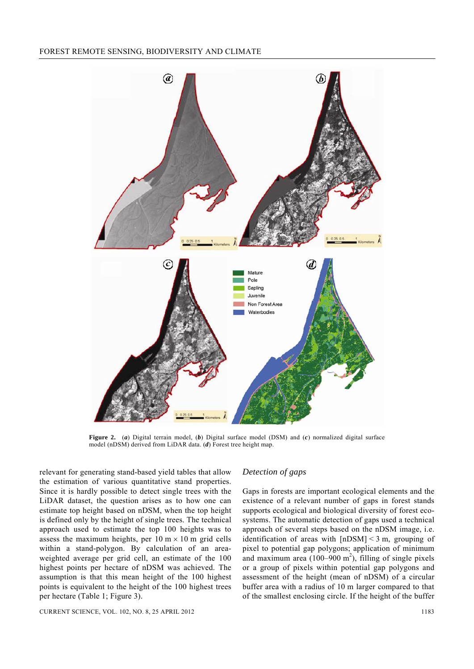

**Figure 2.** (*a*) Digital terrain model, (*b*) Digital surface model (DSM) and (*c*) normalized digital surface model (nDSM) derived from LiDAR data. (*d*) Forest tree height map.

relevant for generating stand-based yield tables that allow the estimation of various quantitative stand properties. Since it is hardly possible to detect single trees with the LiDAR dataset, the question arises as to how one can estimate top height based on nDSM, when the top height is defined only by the height of single trees. The technical approach used to estimate the top 100 heights was to assess the maximum heights, per  $10 \text{ m} \times 10 \text{ m}$  grid cells within a stand-polygon. By calculation of an areaweighted average per grid cell, an estimate of the 100 highest points per hectare of nDSM was achieved. The assumption is that this mean height of the 100 highest points is equivalent to the height of the 100 highest trees per hectare (Table 1; Figure 3).

CURRENT SCIENCE, VOL. 102, NO. 8, 25 APRIL 2012 1183

#### *Detection of gaps*

Gaps in forests are important ecological elements and the existence of a relevant number of gaps in forest stands supports ecological and biological diversity of forest ecosystems. The automatic detection of gaps used a technical approach of several steps based on the nDSM image, i.e. identification of areas with  $[nDSM] < 3$  m, grouping of pixel to potential gap polygons; application of minimum and maximum area  $(100-900 \text{ m}^2)$ , filling of single pixels or a group of pixels within potential gap polygons and assessment of the height (mean of nDSM) of a circular buffer area with a radius of 10 m larger compared to that of the smallest enclosing circle. If the height of the buffer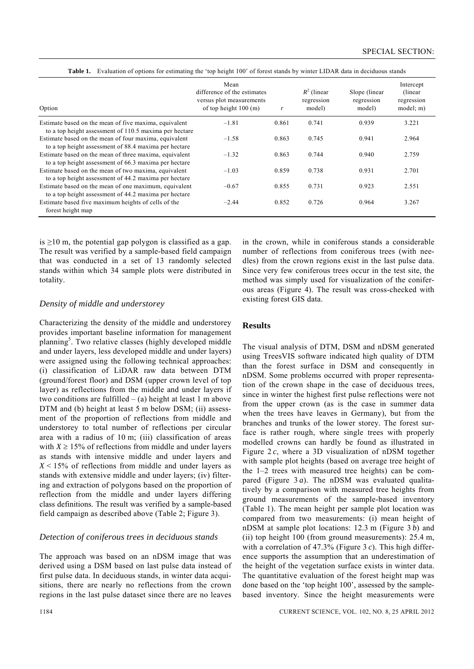Table 1. Evaluation of options for estimating the 'top height 100' of forest stands by winter LIDAR data in deciduous stands

| Option                                                                                                          | Mean<br>difference of the estimates<br>versus plot measurements<br>of top height $100$ (m) | r     | $R^2$ (linear<br>regression<br>model) | Slope (linear)<br>regression<br>model) | Intercept<br>(linear)<br>regression<br>model: m) |
|-----------------------------------------------------------------------------------------------------------------|--------------------------------------------------------------------------------------------|-------|---------------------------------------|----------------------------------------|--------------------------------------------------|
| Estimate based on the mean of five maxima, equivalent<br>to a top height assessment of 110.5 maxima per hectare | $-1.81$                                                                                    | 0.861 | 0.741                                 | 0.939                                  | 3.221                                            |
| Estimate based on the mean of four maxima, equivalent<br>to a top height assessment of 88.4 maxima per hectare  | $-1.58$                                                                                    | 0.863 | 0.745                                 | 0.941                                  | 2.964                                            |
| Estimate based on the mean of three maxima, equivalent<br>to a top height assessment of 66.3 maxima per hectare | $-1.32$                                                                                    | 0.863 | 0.744                                 | 0.940                                  | 2.759                                            |
| Estimate based on the mean of two maxima, equivalent<br>to a top height assessment of 44.2 maxima per hectare   | $-1.03$                                                                                    | 0.859 | 0.738                                 | 0.931                                  | 2.701                                            |
| Estimate based on the mean of one maximum, equivalent<br>to a top height assessment of 44.2 maxima per hectare  | $-0.67$                                                                                    | 0.855 | 0.731                                 | 0.923                                  | 2.551                                            |
| Estimate based five maximum heights of cells of the<br>forest height map                                        | $-2.44$                                                                                    | 0.852 | 0.726                                 | 0.964                                  | 3.267                                            |

is  $\geq$ 10 m, the potential gap polygon is classified as a gap. The result was verified by a sample-based field campaign that was conducted in a set of 13 randomly selected stands within which 34 sample plots were distributed in totality.

## *Density of middle and understorey*

Characterizing the density of the middle and understorey provides important baseline information for management planning<sup>5</sup>. Two relative classes (highly developed middle and under layers, less developed middle and under layers) were assigned using the following technical approaches: (i) classification of LiDAR raw data between DTM (ground/forest floor) and DSM (upper crown level of top layer) as reflections from the middle and under layers if two conditions are fulfilled  $-$  (a) height at least 1 m above DTM and (b) height at least 5 m below DSM; (ii) assessment of the proportion of reflections from middle and understorey to total number of reflections per circular area with a radius of 10 m; (iii) classification of areas with  $X \ge 15\%$  of reflections from middle and under layers as stands with intensive middle and under layers and  $X \le 15\%$  of reflections from middle and under layers as stands with extensive middle and under layers; (iv) filtering and extraction of polygons based on the proportion of reflection from the middle and under layers differing class definitions. The result was verified by a sample-based field campaign as described above (Table 2; Figure 3).

## *Detection of coniferous trees in deciduous stands*

The approach was based on an nDSM image that was derived using a DSM based on last pulse data instead of first pulse data. In deciduous stands, in winter data acquisitions, there are nearly no reflections from the crown regions in the last pulse dataset since there are no leaves

in the crown, while in coniferous stands a considerable number of reflections from coniferous trees (with needles) from the crown regions exist in the last pulse data. Since very few coniferous trees occur in the test site, the method was simply used for visualization of the coniferous areas (Figure 4). The result was cross-checked with existing forest GIS data.

## **Results**

The visual analysis of DTM, DSM and nDSM generated using TreesVIS software indicated high quality of DTM than the forest surface in DSM and consequently in nDSM. Some problems occurred with proper representation of the crown shape in the case of deciduous trees, since in winter the highest first pulse reflections were not from the upper crown (as is the case in summer data when the trees have leaves in Germany), but from the branches and trunks of the lower storey. The forest surface is rather rough, where single trees with properly modelled crowns can hardly be found as illustrated in Figure 2 *c*, where a 3D visualization of nDSM together with sample plot heights (based on average tree height of the 1–2 trees with measured tree heights) can be compared (Figure 3 *a*). The nDSM was evaluated qualitatively by a comparison with measured tree heights from ground measurements of the sample-based inventory (Table 1). The mean height per sample plot location was compared from two measurements: (i) mean height of nDSM at sample plot locations: 12.3 m (Figure 3 *b*) and (ii) top height 100 (from ground measurements): 25.4 m, with a correlation of 47.3% (Figure 3 *c*). This high difference supports the assumption that an underestimation of the height of the vegetation surface exists in winter data. The quantitative evaluation of the forest height map was done based on the 'top height 100', assessed by the samplebased inventory. Since the height measurements were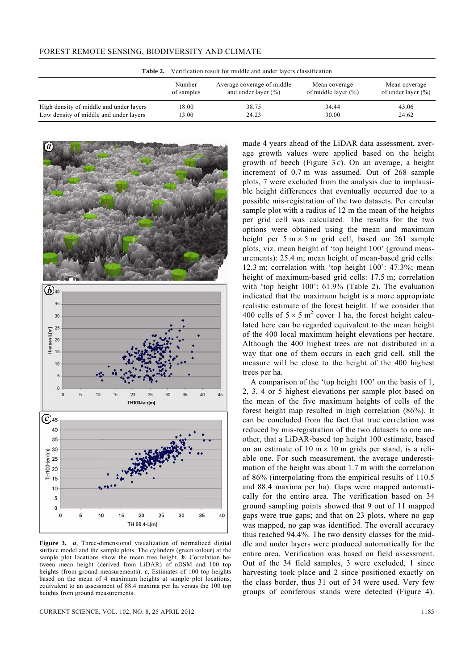| Table 2.                                | Verification result for middle and under layers classification |                                                       |                                          |                                         |  |  |  |
|-----------------------------------------|----------------------------------------------------------------|-------------------------------------------------------|------------------------------------------|-----------------------------------------|--|--|--|
|                                         | Number<br>of samples                                           | Average coverage of middle<br>and under layer $(\% )$ | Mean coverage<br>of middle layer $(\% )$ | Mean coverage<br>of under layer $(\% )$ |  |  |  |
| High density of middle and under layers | 18.00                                                          | 38.75                                                 | 34.44                                    | 43.06                                   |  |  |  |
| Low density of middle and under layers  | 13.00                                                          | 24.23                                                 | 30.00                                    | 24.62                                   |  |  |  |





**Figure 3.** *a*, Three-dimensional visualization of normalized digital surface model and the sample plots. The cylinders (green colour) at the sample plot locations show the mean tree height. *b*, Correlation between mean height (derived from LiDAR) of nDSM and 100 top heights (from ground measurements). *c*, Estimates of 100 top heights based on the mean of 4 maximum heights at sample plot locations, equivalent to an assessment of 88.4 maxima per ha versus the 100 top heights from ground measurements.

CURRENT SCIENCE, VOL. 102, NO. 8, 25 APRIL 2012 1185

made 4 years ahead of the LiDAR data assessment, average growth values were applied based on the height growth of beech (Figure 3 *c*). On an average, a height increment of 0.7 m was assumed. Out of 268 sample plots, 7 were excluded from the analysis due to implausible height differences that eventually occurred due to a possible mis-registration of the two datasets. Per circular sample plot with a radius of 12 m the mean of the heights per grid cell was calculated. The results for the two options were obtained using the mean and maximum height per  $5 \text{ m} \times 5 \text{ m}$  grid cell, based on 261 sample plots, viz. mean height of 'top height 100' (ground measurements): 25.4 m; mean height of mean-based grid cells: 12.3 m; correlation with 'top height 100': 47.3%; mean height of maximum-based grid cells: 17.5 m; correlation with 'top height 100': 61.9% (Table 2). The evaluation indicated that the maximum height is a more appropriate realistic estimate of the forest height. If we consider that 400 cells of  $5 \times 5$  m<sup>2</sup> cover 1 ha, the forest height calculated here can be regarded equivalent to the mean height of the 400 local maximum height elevations per hectare. Although the 400 highest trees are not distributed in a way that one of them occurs in each grid cell, still the measure will be close to the height of the 400 highest trees per ha.

 A comparison of the 'top height 100' on the basis of 1, 2, 3, 4 or 5 highest elevations per sample plot based on the mean of the five maximum heights of cells of the forest height map resulted in high correlation (86%). It can be concluded from the fact that true correlation was reduced by mis-registration of the two datasets to one another, that a LiDAR-based top height 100 estimate, based on an estimate of  $10 \text{ m} \times 10 \text{ m}$  grids per stand, is a reliable one. For such measurement, the average underestimation of the height was about 1.7 m with the correlation of 86% (interpolating from the empirical results of 110.5 and 88.4 maxima per ha). Gaps were mapped automatically for the entire area. The verification based on 34 ground sampling points showed that 9 out of 11 mapped gaps were true gaps; and that on 23 plots, where no gap was mapped, no gap was identified. The overall accuracy thus reached 94.4%. The two density classes for the middle and under layers were produced automatically for the entire area. Verification was based on field assessment. Out of the 34 field samples, 3 were excluded, 1 since harvesting took place and 2 since positioned exactly on the class border, thus 31 out of 34 were used. Very few groups of coniferous stands were detected (Figure 4).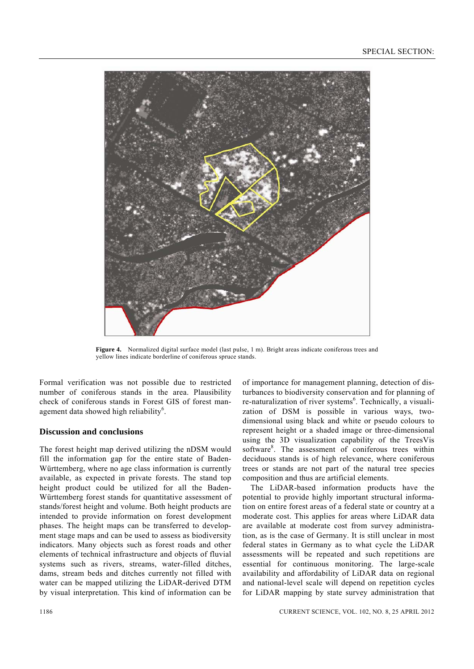

**Figure 4.** Normalized digital surface model (last pulse, 1 m). Bright areas indicate coniferous trees and yellow lines indicate borderline of coniferous spruce stands.

Formal verification was not possible due to restricted number of coniferous stands in the area. Plausibility check of coniferous stands in Forest GIS of forest management data showed high reliability<sup>6</sup>.

## **Discussion and conclusions**

The forest height map derived utilizing the nDSM would fill the information gap for the entire state of Baden-Württemberg, where no age class information is currently available, as expected in private forests. The stand top height product could be utilized for all the Baden-Württemberg forest stands for quantitative assessment of stands/forest height and volume. Both height products are intended to provide information on forest development phases. The height maps can be transferred to development stage maps and can be used to assess as biodiversity indicators. Many objects such as forest roads and other elements of technical infrastructure and objects of fluvial systems such as rivers, streams, water-filled ditches, dams, stream beds and ditches currently not filled with water can be mapped utilizing the LiDAR-derived DTM by visual interpretation. This kind of information can be

of importance for management planning, detection of disturbances to biodiversity conservation and for planning of re-naturalization of river systems<sup>6</sup>. Technically, a visualization of DSM is possible in various ways, twodimensional using black and white or pseudo colours to represent height or a shaded image or three-dimensional using the 3D visualization capability of the TreesVis software<sup>8</sup>. The assessment of coniferous trees within deciduous stands is of high relevance, where coniferous trees or stands are not part of the natural tree species composition and thus are artificial elements.

 The LiDAR-based information products have the potential to provide highly important structural information on entire forest areas of a federal state or country at a moderate cost. This applies for areas where LiDAR data are available at moderate cost from survey administration, as is the case of Germany. It is still unclear in most federal states in Germany as to what cycle the LiDAR assessments will be repeated and such repetitions are essential for continuous monitoring. The large-scale availability and affordability of LiDAR data on regional and national-level scale will depend on repetition cycles for LiDAR mapping by state survey administration that